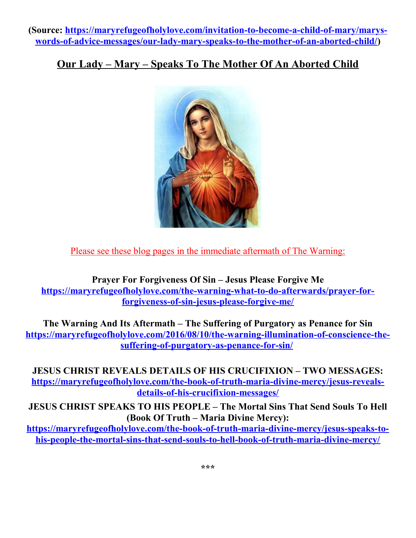**(Source: [https://maryrefugeofholylove.com/invitation-to-become-a-child-of-mary/marys](https://maryrefugeofholylove.com/invitation-to-become-a-child-of-mary/marys-words-of-advice-messages/our-lady-mary-speaks-to-the-mother-of-an-aborted-child/)[words-of-advice-messages/our-lady-mary-speaks-to-the-mother-of-an-aborted-child/\)](https://maryrefugeofholylove.com/invitation-to-become-a-child-of-mary/marys-words-of-advice-messages/our-lady-mary-speaks-to-the-mother-of-an-aborted-child/)**

# **Our Lady – Mary – Speaks To The Mother Of An Aborted Child**



Please see these blog pages in the immediate aftermath of The Warning:

**Prayer For Forgiveness Of Sin – Jesus Please Forgive Me [https://maryrefugeofholylove.com/the-warning-what-to-do-afterwards/prayer-for](https://maryrefugeofholylove.com/the-warning-what-to-do-afterwards/prayer-for-forgiveness-of-sin-jesus-please-forgive-me/)[forgiveness-of-sin-jesus-please-forgive-me/](https://maryrefugeofholylove.com/the-warning-what-to-do-afterwards/prayer-for-forgiveness-of-sin-jesus-please-forgive-me/)**

**The Warning And Its Aftermath – The Suffering of Purgatory as Penance for Sin [https://maryrefugeofholylove.com/2016/08/10/the-warning-illumination-of-conscience-the](https://maryrefugeofholylove.com/2016/08/10/the-warning-illumination-of-conscience-the-suffering-of-purgatory-as-penance-for-sin/)[suffering-of-purgatory-as-penance-for-sin/](https://maryrefugeofholylove.com/2016/08/10/the-warning-illumination-of-conscience-the-suffering-of-purgatory-as-penance-for-sin/)**

**JESUS CHRIST REVEALS DETAILS OF HIS CRUCIFIXION – TWO MESSAGES: [https://maryrefugeofholylove.com/the-book-of-truth-maria-divine-mercy/jesus-reveals](https://maryrefugeofholylove.com/the-book-of-truth-maria-divine-mercy/jesus-reveals-details-of-his-crucifixion-messages/)[details-of-his-crucifixion-messages/](https://maryrefugeofholylove.com/the-book-of-truth-maria-divine-mercy/jesus-reveals-details-of-his-crucifixion-messages/)**

**JESUS CHRIST SPEAKS TO HIS PEOPLE – The Mortal Sins That Send Souls To Hell (Book Of Truth – Maria Divine Mercy):**

**[https://maryrefugeofholylove.com/the-book-of-truth-maria-divine-mercy/jesus-speaks-to](https://maryrefugeofholylove.com/the-book-of-truth-maria-divine-mercy/jesus-speaks-to-his-people-the-mortal-sins-that-send-souls-to-hell-book-of-truth-maria-divine-mercy/)[his-people-the-mortal-sins-that-send-souls-to-hell-book-of-truth-maria-divine-mercy/](https://maryrefugeofholylove.com/the-book-of-truth-maria-divine-mercy/jesus-speaks-to-his-people-the-mortal-sins-that-send-souls-to-hell-book-of-truth-maria-divine-mercy/)**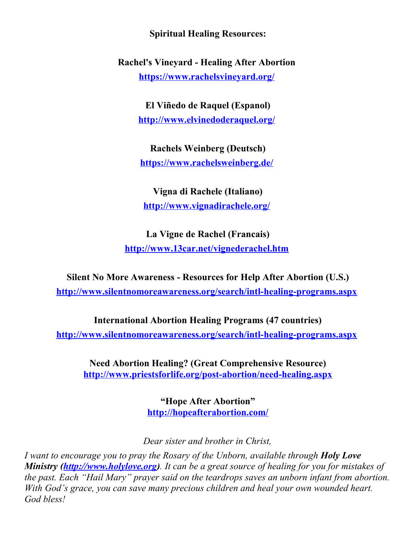**Spiritual Healing Resources:**

**Rachel's Vineyard - Healing After Abortion <https://www.rachelsvineyard.org/>**

> **El Viñedo de Raquel (Espanol) <http://www.elvinedoderaquel.org/>**

**Rachels Weinberg (Deutsch) <https://www.rachelsweinberg.de/>**

**Vigna di Rachele (Italiano) <http://www.vignadirachele.org/>**

**La Vigne de Rachel (Francais) <http://www.13car.net/vignederachel.htm>**

**Silent No More Awareness - Resources for Help After Abortion (U.S.)**

**<http://www.silentnomoreawareness.org/search/intl-healing-programs.aspx>**

**International Abortion Healing Programs (47 countries) <http://www.silentnomoreawareness.org/search/intl-healing-programs.aspx>**

**Need Abortion Healing? (Great Comprehensive Resource) <http://www.priestsforlife.org/post-abortion/need-healing.aspx>**

> **"Hope After Abortion" <http://hopeafterabortion.com/>**

*Dear sister and brother in Christ,*

*I* want to encourage you to pray the Rosary of the Unborn, available through **Holy Love** *Ministry [\(http://www.holylove.org\)](http://www.holylove.org/). It can be a great source of healing for you for mistakes of the past. Each "Hail Mary" prayer said on the teardrops saves an unborn infant from abortion. With God's grace, you can save many precious children and heal your own wounded heart. God bless!*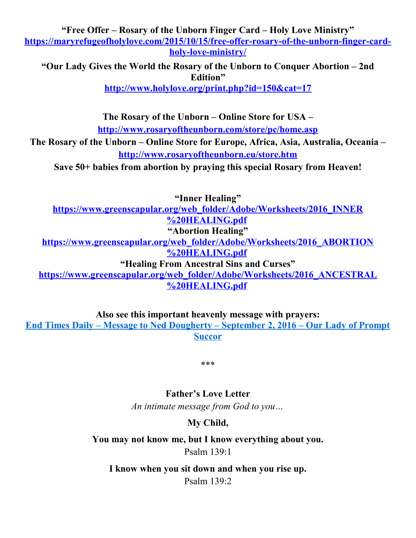**"Free Offer – Rosary of the Unborn Finger Card – Holy Love Ministry" [https://maryrefugeofholylove.com/2015/10/15/free-offer-rosary-of-the-unborn-finger-card](https://maryrefugeofholylove.com/2015/10/15/free-offer-rosary-of-the-unborn-finger-card-holy-love-ministry/)[holy-love-ministry/](https://maryrefugeofholylove.com/2015/10/15/free-offer-rosary-of-the-unborn-finger-card-holy-love-ministry/)**

**"Our Lady Gives the World the Rosary of the Unborn to Conquer Abortion – 2nd Edition"**

**<http://www.holylove.org/print.php?id=150&cat=17>**

**The Rosary of the Unborn – Online Store for USA –**

**<http://www.rosaryoftheunborn.com/store/pc/home.asp>**

**The Rosary of the Unborn – Online Store for Europe, Africa, Asia, Australia, Oceania – <http://www.rosaryoftheunborn.eu/store.htm>**

**Save 50+ babies from abortion by praying this special Rosary from Heaven!**

**"Inner Healing"**

**[https://www.greenscapular.org/web\\_folder/Adobe/Worksheets/2016\\_INNER](https://www.greenscapular.org/web_folder/Adobe/Worksheets/2016_INNER%20HEALING.pdf) [%20HEALING.pdf](https://www.greenscapular.org/web_folder/Adobe/Worksheets/2016_INNER%20HEALING.pdf)**

**"Abortion Healing"**

**[https://www.greenscapular.org/web\\_folder/Adobe/Worksheets/2016\\_ABORTION](https://www.greenscapular.org/web_folder/Adobe/Worksheets/2016_ABORTION%20HEALING.pdf) [%20HEALING.pdf](https://www.greenscapular.org/web_folder/Adobe/Worksheets/2016_ABORTION%20HEALING.pdf)**

**"Healing From Ancestral Sins and Curses"**

**[https://www.greenscapular.org/web\\_folder/Adobe/Worksheets/2016\\_ANCESTRAL](https://www.greenscapular.org/web_folder/Adobe/Worksheets/2016_ANCESTRAL%20HEALING.pdf) [%20HEALING.pdf](https://www.greenscapular.org/web_folder/Adobe/Worksheets/2016_ANCESTRAL%20HEALING.pdf)**

**Also see this important heavenly message with prayers:**

**[End Times Daily – Message to Ned Dougherty – September 2, 2016 – Our Lady of Prompt](https://maryrefugeofholylove.com/2016/09/05/end-times-daily-message-to-ned-dougherty-september-2-2016-our-lady-of-prompt-succor/) [Succor](https://maryrefugeofholylove.com/2016/09/05/end-times-daily-message-to-ned-dougherty-september-2-2016-our-lady-of-prompt-succor/)**

\*\*\*

**Father's Love Letter** *An intimate message from God to you…*

## **My Child,**

**You may not know me, but I know everything about you.** Psalm 139:1

**I know when you sit down and when you rise up.** Psalm 139:2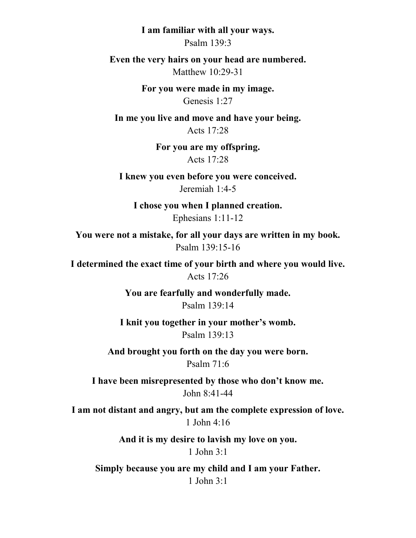**I am familiar with all your ways.**

Psalm 139:3

**Even the very hairs on your head are numbered.** Matthew  $10.29 - 31$ 

> **For you were made in my image.** Genesis 1:27

**In me you live and move and have your being.**

Acts 17:28

**For you are my offspring.** Acts  $17.28$ 

**I knew you even before you were conceived.** Jeremiah 1:4-5

**I chose you when I planned creation.** Ephesians 1:11-12

**You were not a mistake, for all your days are written in my book.** Psalm 139:15-16

**I determined the exact time of your birth and where you would live.** Acts 17:26

> **You are fearfully and wonderfully made.** Psalm 139:14

**I knit you together in your mother's womb.** Psalm 139:13

**And brought you forth on the day you were born.** Psalm 71:6

**I have been misrepresented by those who don't know me.** John 8:41-44

**I am not distant and angry, but am the complete expression of love.** 1 John 4:16

> **And it is my desire to lavish my love on you.** 1 John 3:1

**Simply because you are my child and I am your Father.** 1 John 3:1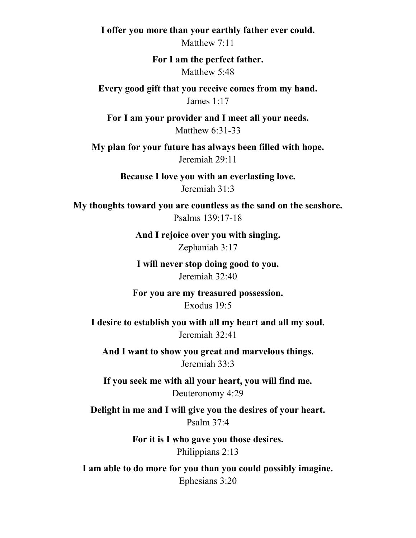**I offer you more than your earthly father ever could.**

Matthew 7:11

**For I am the perfect father.** Matthew 5:48

**Every good gift that you receive comes from my hand.** James 1:17

**For I am your provider and I meet all your needs.** Matthew 6:31-33

**My plan for your future has always been filled with hope.** Jeremiah 29:11

> **Because I love you with an everlasting love.** Jeremiah 31:3

**My thoughts toward you are countless as the sand on the seashore.** Psalms 139:17-18

> **And I rejoice over you with singing.** Zephaniah 3:17

> **I will never stop doing good to you.** Jeremiah 32:40

**For you are my treasured possession.** Exodus 19:5

**I desire to establish you with all my heart and all my soul.** Jeremiah 32:41

**And I want to show you great and marvelous things.** Jeremiah 33:3

**If you seek me with all your heart, you will find me.** Deuteronomy 4:29

**Delight in me and I will give you the desires of your heart.** Psalm 37:4

> **For it is I who gave you those desires.** Philippians 2:13

**I am able to do more for you than you could possibly imagine.** Ephesians 3:20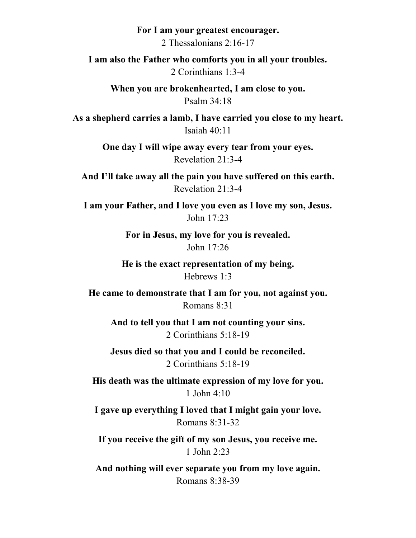**For I am your greatest encourager.**

2 Thessalonians 2:16-17

**I am also the Father who comforts you in all your troubles.** 2 Corinthians 1:3-4

**When you are brokenhearted, I am close to you.** Psalm 34:18

**As a shepherd carries a lamb, I have carried you close to my heart.** Isaiah 40:11

> **One day I will wipe away every tear from your eyes.** Revelation 21:3-4

**And I'll take away all the pain you have suffered on this earth.** Revelation 21:3-4

**I am your Father, and I love you even as I love my son, Jesus.** John 17:23

> **For in Jesus, my love for you is revealed.** John 17:26

**He is the exact representation of my being.** Hebrews 1:3

**He came to demonstrate that I am for you, not against you.** Romans 8:31

**And to tell you that I am not counting your sins.** 2 Corinthians 5:18-19

**Jesus died so that you and I could be reconciled.** 2 Corinthians 5:18-19

**His death was the ultimate expression of my love for you.** 1 John 4:10

**I gave up everything I loved that I might gain your love.** Romans 8:31-32

**If you receive the gift of my son Jesus, you receive me.** 1 John 2:23

**And nothing will ever separate you from my love again.** Romans 8:38-39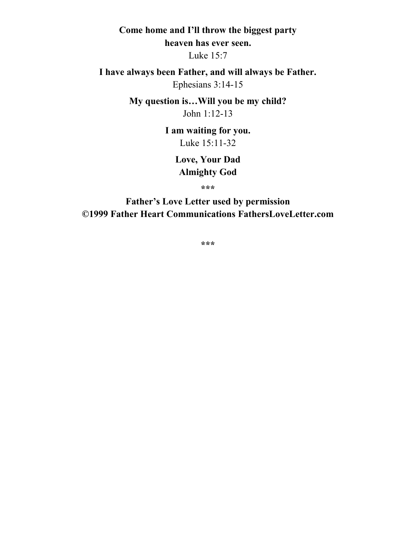**Come home and I'll throw the biggest party**

**heaven has ever seen.**

Luke 15:7

**I have always been Father, and will always be Father.** Ephesians 3:14-15

> **My question is…Will you be my child?** John 1:12-13

> > **I am waiting for you.** Luke 15:11-32

> > > **Love, Your Dad Almighty God**

> > > > **\*\*\***

**Father's Love Letter used by permission ©1999 Father Heart Communications FathersLoveLetter.com**

**\*\*\***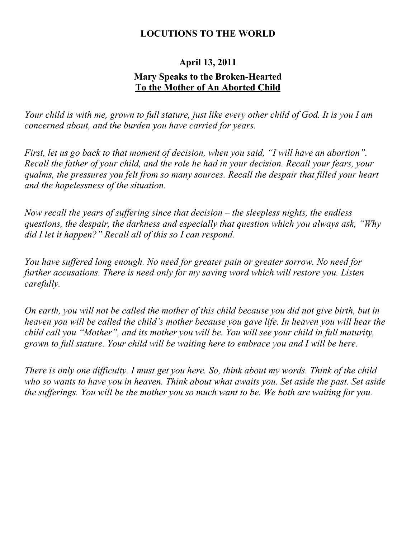# **LOCUTIONS TO THE WORLD**

## **April 13, 2011**

### **Mary Speaks to the Broken-Hearted To the Mother of An Aborted Child**

*Your child is with me, grown to full stature, just like every other child of God. It is you I am concerned about, and the burden you have carried for years.*

*First, let us go back to that moment of decision, when you said, "I will have an abortion". Recall the father of your child, and the role he had in your decision. Recall your fears, your qualms, the pressures you felt from so many sources. Recall the despair that filled your heart and the hopelessness of the situation.*

*Now recall the years of suffering since that decision – the sleepless nights, the endless questions, the despair, the darkness and especially that question which you always ask, "Why did I let it happen?" Recall all of this so I can respond.*

*You have suffered long enough. No need for greater pain or greater sorrow. No need for further accusations. There is need only for my saving word which will restore you. Listen carefully.*

*On earth, you will not be called the mother of this child because you did not give birth, but in heaven you will be called the child's mother because you gave life. In heaven you will hear the child call you "Mother", and its mother you will be. You will see your child in full maturity, grown to full stature. Your child will be waiting here to embrace you and I will be here.*

*There is only one difficulty. I must get you here. So, think about my words. Think of the child who so wants to have you in heaven. Think about what awaits you. Set aside the past. Set aside the sufferings. You will be the mother you so much want to be. We both are waiting for you.*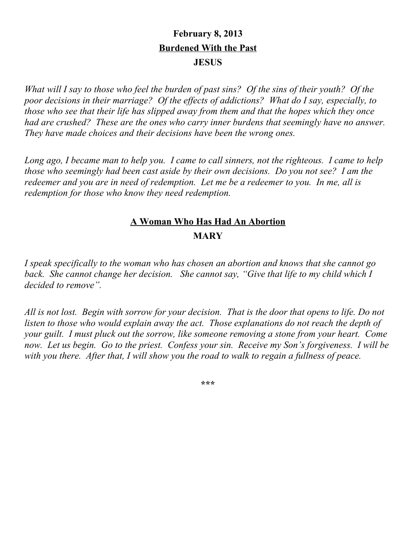# **February 8, 2013 Burdened With the Past JESUS**

*What will I say to those who feel the burden of past sins? Of the sins of their youth? Of the poor decisions in their marriage? Of the effects of addictions? What do I say, especially, to those who see that their life has slipped away from them and that the hopes which they once had are crushed? These are the ones who carry inner burdens that seemingly have no answer. They have made choices and their decisions have been the wrong ones.*

*Long ago, I became man to help you. I came to call sinners, not the righteous. I came to help those who seemingly had been cast aside by their own decisions. Do you not see? I am the redeemer and you are in need of redemption. Let me be a redeemer to you. In me, all is redemption for those who know they need redemption.*

# **A Woman Who Has Had An Abortion MARY**

*I speak specifically to the woman who has chosen an abortion and knows that she cannot go back. She cannot change her decision. She cannot say, "Give that life to my child which I decided to remove".*

*All is not lost. Begin with sorrow for your decision. That is the door that opens to life. Do not listen to those who would explain away the act. Those explanations do not reach the depth of your guilt. I must pluck out the sorrow, like someone removing a stone from your heart. Come now. Let us begin. Go to the priest. Confess your sin. Receive my Son's forgiveness. I will be with you there. After that, I will show you the road to walk to regain a fullness of peace.*

**\*\*\***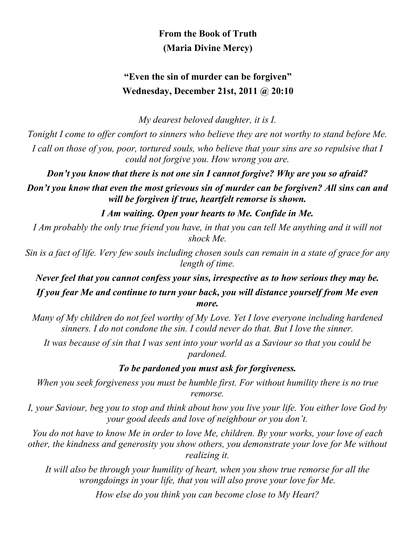# **From the Book of Truth (Maria Divine Mercy)**

# **"Even the sin of murder can be forgiven" Wednesday, December 21st, 2011 @ 20:10**

*My dearest beloved daughter, it is I.*

*Tonight I come to offer comfort to sinners who believe they are not worthy to stand before Me.*

*I call on those of you, poor, tortured souls, who believe that your sins are so repulsive that I could not forgive you. How wrong you are.*

*Don't you know that there is not one sin I cannot forgive? Why are you so afraid?*

*Don't you know that even the most grievous sin of murder can be forgiven? All sins can and will be forgiven if true, heartfelt remorse is shown.*

*I Am waiting. Open your hearts to Me. Confide in Me.*

*I Am probably the only true friend you have, in that you can tell Me anything and it will not shock Me.*

*Sin is a fact of life. Very few souls including chosen souls can remain in a state of grace for any length of time.*

*Never feel that you cannot confess your sins, irrespective as to how serious they may be. If you fear Me and continue to turn your back, you will distance yourself from Me even more.*

*Many of My children do not feel worthy of My Love. Yet I love everyone including hardened sinners. I do not condone the sin. I could never do that. But I love the sinner.*

*It was because of sin that I was sent into your world as a Saviour so that you could be pardoned.*

## *To be pardoned you must ask for forgiveness.*

*When you seek forgiveness you must be humble first. For without humility there is no true remorse.*

*I, your Saviour, beg you to stop and think about how you live your life. You either love God by your good deeds and love of neighbour or you don't.*

*You do not have to know Me in order to love Me, children. By your works, your love of each other, the kindness and generosity you show others, you demonstrate your love for Me without realizing it.*

*It will also be through your humility of heart, when you show true remorse for all the wrongdoings in your life, that you will also prove your love for Me.*

*How else do you think you can become close to My Heart?*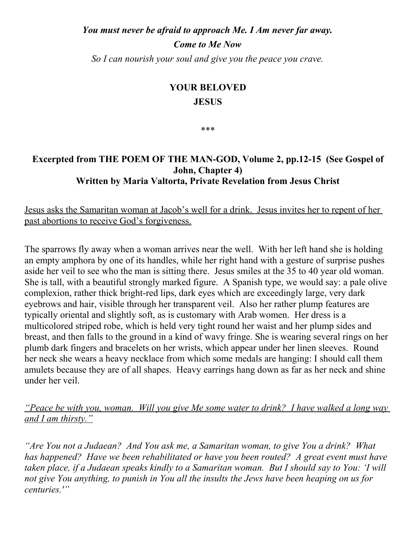#### *You must never be afraid to approach Me. I Am never far away.*

*Come to Me Now*

*So I can nourish your soul and give you the peace you crave.*

# **YOUR BELOVED JESUS**

\*\*\*

### **Excerpted from THE POEM OF THE MAN-GOD, Volume 2, pp.12-15 (See Gospel of John, Chapter 4) Written by Maria Valtorta, Private Revelation from Jesus Christ**

 Jesus asks the Samaritan woman at Jacob's well for a drink. Jesus invites her to repent of her past abortions to receive God's forgiveness.

The sparrows fly away when a woman arrives near the well. With her left hand she is holding an empty amphora by one of its handles, while her right hand with a gesture of surprise pushes aside her veil to see who the man is sitting there. Jesus smiles at the 35 to 40 year old woman. She is tall, with a beautiful strongly marked figure. A Spanish type, we would say: a pale olive complexion, rather thick bright-red lips, dark eyes which are exceedingly large, very dark eyebrows and hair, visible through her transparent veil. Also her rather plump features are typically oriental and slightly soft, as is customary with Arab women. Her dress is a multicolored striped robe, which is held very tight round her waist and her plump sides and breast, and then falls to the ground in a kind of wavy fringe. She is wearing several rings on her plumb dark fingers and bracelets on her wrists, which appear under her linen sleeves. Round her neck she wears a heavy necklace from which some medals are hanging: I should call them amulets because they are of all shapes. Heavy earrings hang down as far as her neck and shine under her veil.

 *"Peace be with you, woman. Will you give Me some water to drink? I have walked a long way and I am thirsty."*

*"Are You not a Judaean? And You ask me, a Samaritan woman, to give You a drink? What has happened? Have we been rehabilitated or have you been routed? A great event must have taken place, if a Judaean speaks kindly to a Samaritan woman. But I should say to You: 'I will not give You anything, to punish in You all the insults the Jews have been heaping on us for centuries.'"*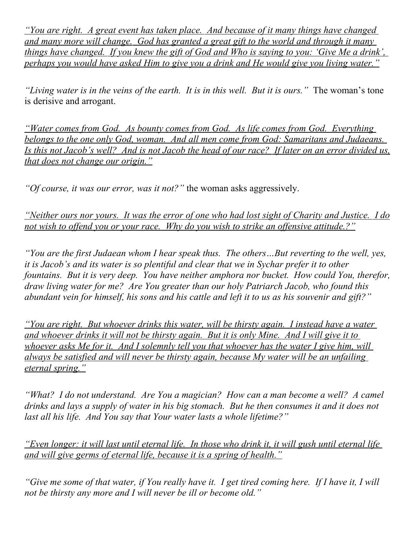*"You are right. A great event has taken place. And because of it many things have changed and many more will change. God has granted a great gift to the world and through it many things have changed. If you knew the gift of God and Who is saying to you: 'Give Me a drink', perhaps you would have asked Him to give you a drink and He would give you living water."*

*"Living water is in the veins of the earth. It is in this well. But it is ours."* The woman's tone is derisive and arrogant.

 *"Water comes from God. As bounty comes from God. As life comes from God. Everything belongs to the one only God, woman. And all men come from God: Samaritans and Judaeans. Is this not Jacob's well? And is not Jacob the head of our race? If later on an error divided us, that does not change our origin."*

*"Of course, it was our error, was it not?"* the woman asks aggressively.

 *"Neither ours nor yours. It was the error of one who had lost sight of Charity and Justice. I do not wish to offend you or your race. Why do you wish to strike an offensive attitude.?"*

*"You are the first Judaean whom I hear speak thus. The others…But reverting to the well, yes, it is Jacob's and its water is so plentiful and clear that we in Sychar prefer it to other fountains. But it is very deep. You have neither amphora nor bucket. How could You, therefor, draw living water for me? Are You greater than our holy Patriarch Jacob, who found this abundant vein for himself, his sons and his cattle and left it to us as his souvenir and gift?"*

 *"You are right. But whoever drinks this water, will be thirsty again. I instead have a water and whoever drinks it will not be thirsty again. But it is only Mine. And I will give it to whoever asks Me for it. And I solemnly tell you that whoever has the water I give him, will always be satisfied and will never be thirsty again, because My water will be an unfailing eternal spring."*

*"What? I do not understand. Are You a magician? How can a man become a well? A camel drinks and lays a supply of water in his big stomach. But he then consumes it and it does not last all his life. And You say that Your water lasts a whole lifetime?"*

 *"Even longer: it will last until eternal life. In those who drink it, it will gush until eternal life and will give germs of eternal life, because it is a spring of health."*

*"Give me some of that water, if You really have it. I get tired coming here. If I have it, I will not be thirsty any more and I will never be ill or become old."*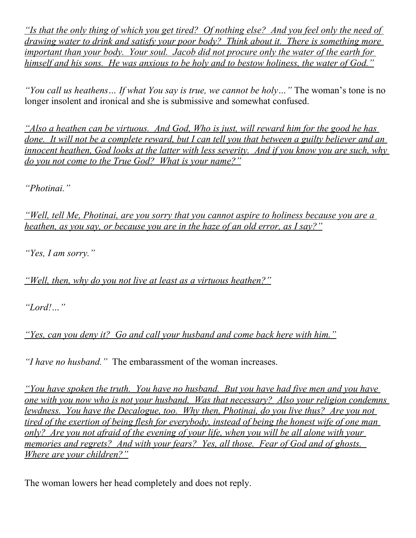*"Is that the only thing of which you get tired? Of nothing else? And you feel only the need of drawing water to drink and satisfy your poor body? Think about it. There is something more important than your body. Your soul. Jacob did not procure only the water of the earth for himself and his sons. He was anxious to be holy and to bestow holiness, the water of God."*

*"You call us heathens… If what You say is true, we cannot be holy…"* The woman's tone is no longer insolent and ironical and she is submissive and somewhat confused.

 *"Also a heathen can be virtuous. And God, Who is just, will reward him for the good he has done. It will not be a complete reward, but I can tell you that between a guilty believer and an innocent heathen, God looks at the latter with less severity. And if you know you are such, why do you not come to the True God? What is your name?"*

*"Photinai."*

*"Well, tell Me, Photinai, are you sorry that you cannot aspire to holiness because you are a heathen, as you say, or because you are in the haze of an old error, as I say?"*

*"Yes, I am sorry."*

*"Well, then, why do you not live at least as a virtuous heathen?"*

*"Lord!…"*

 *"Yes, can you deny it? Go and call your husband and come back here with him."*

*"I have no husband."* The embarassment of the woman increases.

 *"You have spoken the truth. You have no husband. But you have had five men and you have one with you now who is not your husband. Was that necessary? Also your religion condemns lewdness. You have the Decalogue, too. Why then, Photinai, do you live thus? Are you not tired of the exertion of being flesh for everybody, instead of being the honest wife of one man only? Are you not afraid of the evening of your life, when you will be all alone with your memories and regrets? And with your fears? Yes, all those. Fear of God and of ghosts. Where are your children?"*

The woman lowers her head completely and does not reply.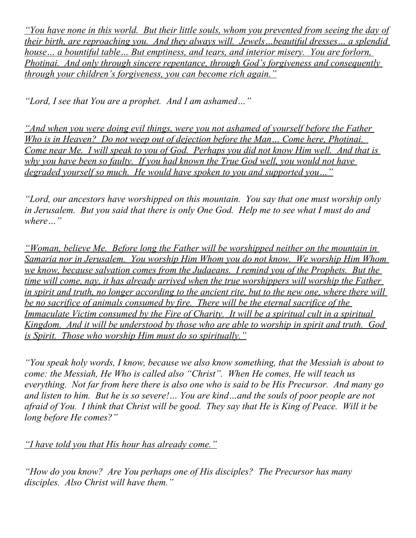*"You have none in this world. But their little souls, whom you prevented from seeing the day of their birth, are reproaching you. And they always will. Jewels…beautiful dresses… a splendid house… a bountiful table… But emptiness, and tears, and interior misery. You are forlorn, Photinai. And only through sincere repentance, through God's forgiveness and consequently through your children's forgiveness, you can become rich again."*

*"Lord, I see that You are a prophet. And I am ashamed…"*

*"And when you were doing evil things, were you not ashamed of yourself before the Father Who is in Heaven? Do not weep out of dejection before the Man… Come here, Photinai. Come near Me. I will speak to you of God. Perhaps you did not know Him well. And that is why you have been so faulty. If you had known the True God well, you would not have degraded yourself so much. He would have spoken to you and supported you…"*

*"Lord, our ancestors have worshipped on this mountain. You say that one must worship only in Jerusalem. But you said that there is only One God. Help me to see what I must do and where…"*

 *"Woman, believe Me. Before long the Father will be worshipped neither on the mountain in Samaria nor in Jerusalem. You worship Him Whom you do not know. We worship Him Whom we know, because salvation comes from the Judaeans. I remind you of the Prophets. But the time will come, nay, it has already arrived when the true worshippers will worship the Father in spirit and truth, no longer according to the ancient rite, but to the new one, where there will be no sacrifice of animals consumed by fire. There will be the eternal sacrifice of the Immaculate Victim consumed by the Fire of Charity. It will be a spiritual cult in a spiritual Kingdom. And it will be understood by those who are able to worship in spirit and truth. God is Spirit. Those who worship Him must do so spiritually."*

*"You speak holy words, I know, because we also know something, that the Messiah is about to come: the Messiah, He Who is called also "Christ". When He comes, He will teach us everything. Not far from here there is also one who is said to be His Precursor. And many go and listen to him. But he is so severe!… You are kind…and the souls of poor people are not afraid of You. I think that Christ will be good. They say that He is King of Peace. Will it be long before He comes?"*

*"I have told you that His hour has already come."*

*"How do you know? Are You perhaps one of His disciples? The Precursor has many disciples. Also Christ will have them."*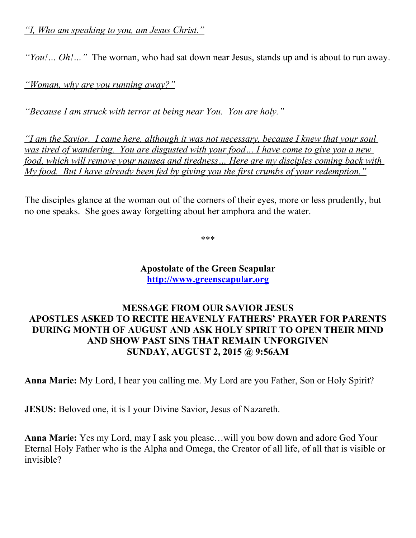*"I, Who am speaking to you, am Jesus Christ."*

*"You!… Oh!…"* The woman, who had sat down near Jesus, stands up and is about to run away.

*"Woman, why are you running away?"*

*"Because I am struck with terror at being near You. You are holy."*

 *"I am the Savior. I came here, although it was not necessary, because I knew that your soul was tired of wandering. You are disgusted with your food… I have come to give you a new food, which will remove your nausea and tiredness… Here are my disciples coming back with My food. But I have already been fed by giving you the first crumbs of your redemption."*

The disciples glance at the woman out of the corners of their eyes, more or less prudently, but no one speaks. She goes away forgetting about her amphora and the water.

\*\*\*

**Apostolate of the Green Scapular [http://www.greenscapular.org](http://www.greenscapular.org/)**

## **MESSAGE FROM OUR SAVIOR JESUS APOSTLES ASKED TO RECITE HEAVENLY FATHERS' PRAYER FOR PARENTS DURING MONTH OF AUGUST AND ASK HOLY SPIRIT TO OPEN THEIR MIND AND SHOW PAST SINS THAT REMAIN UNFORGIVEN SUNDAY, AUGUST 2, 2015 @ 9:56AM**

**Anna Marie:** My Lord, I hear you calling me. My Lord are you Father, Son or Holy Spirit?

**JESUS:** Beloved one, it is I your Divine Savior, Jesus of Nazareth.

**Anna Marie:** Yes my Lord, may I ask you please…will you bow down and adore God Your Eternal Holy Father who is the Alpha and Omega, the Creator of all life, of all that is visible or invisible?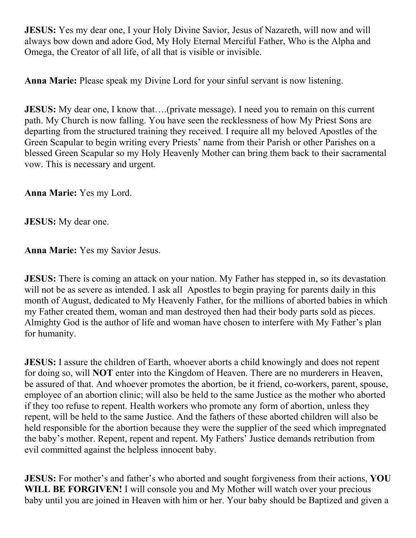**JESUS:** Yes my dear one, I your Holy Divine Savior, Jesus of Nazareth, will now and will always bow down and adore God, My Holy Eternal Merciful Father, Who is the Alpha and Omega, the Creator of all life, of all that is visible or invisible.

**Anna Marie:** Please speak my Divine Lord for your sinful servant is now listening.

**JESUS:** My dear one, I know that....(private message). I need you to remain on this current path. My Church is now falling. You have seen the recklessness of how My Priest Sons are departing from the structured training they received. I require all my beloved Apostles of the Green Scapular to begin writing every Priests' name from their Parish or other Parishes on a blessed Green Scapular so my Holy Heavenly Mother can bring them back to their sacramental vow. This is necessary and urgent.

**Anna Marie:** Yes my Lord.

**JESUS:** My dear one.

**Anna Marie:** Yes my Savior Jesus.

**JESUS:** There is coming an attack on your nation. My Father has stepped in, so its devastation will not be as severe as intended. I ask all Apostles to begin praying for parents daily in this month of August, dedicated to My Heavenly Father, for the millions of aborted babies in which my Father created them, woman and man destroyed then had their body parts sold as pieces. Almighty God is the author of life and woman have chosen to interfere with My Father's plan for humanity.

**JESUS:** I assure the children of Earth, whoever aborts a child knowingly and does not repent for doing so, will **NOT** enter into the Kingdom of Heaven. There are no murderers in Heaven, be assured of that. And whoever promotes the abortion, be it friend, co-workers, parent, spouse, employee of an abortion clinic; will also be held to the same Justice as the mother who aborted if they too refuse to repent. Health workers who promote any form of abortion, unless they repent, will be held to the same Justice. And the fathers of these aborted children will also be held responsible for the abortion because they were the supplier of the seed which impregnated the baby's mother. Repent, repent and repent. My Fathers' Justice demands retribution from evil committed against the helpless innocent baby.

**JESUS:** For mother's and father's who aborted and sought forgiveness from their actions, **YOU WILL BE FORGIVEN!** I will console you and My Mother will watch over your precious baby until you are joined in Heaven with him or her. Your baby should be Baptized and given a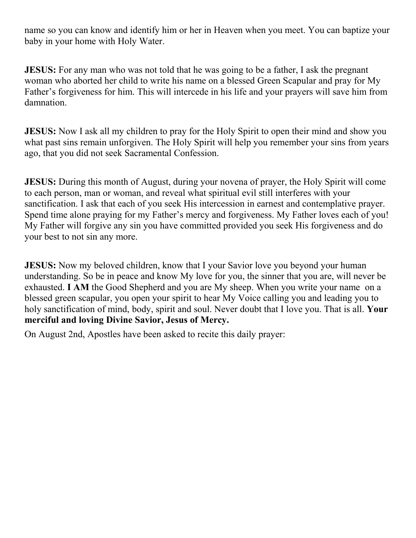name so you can know and identify him or her in Heaven when you meet. You can baptize your baby in your home with Holy Water.

**JESUS:** For any man who was not told that he was going to be a father, I ask the pregnant woman who aborted her child to write his name on a blessed Green Scapular and pray for My Father's forgiveness for him. This will intercede in his life and your prayers will save him from damnation.

**JESUS:** Now I ask all my children to pray for the Holy Spirit to open their mind and show you what past sins remain unforgiven. The Holy Spirit will help you remember your sins from years ago, that you did not seek Sacramental Confession.

**JESUS:** During this month of August, during your novena of prayer, the Holy Spirit will come to each person, man or woman, and reveal what spiritual evil still interferes with your sanctification. I ask that each of you seek His intercession in earnest and contemplative prayer. Spend time alone praying for my Father's mercy and forgiveness. My Father loves each of you! My Father will forgive any sin you have committed provided you seek His forgiveness and do your best to not sin any more.

**JESUS:** Now my beloved children, know that I your Savior love you beyond your human understanding. So be in peace and know My love for you, the sinner that you are, will never be exhausted. **I AM** the Good Shepherd and you are My sheep. When you write your name on a blessed green scapular, you open your spirit to hear My Voice calling you and leading you to holy sanctification of mind, body, spirit and soul. Never doubt that I love you. That is all. **Your merciful and loving Divine Savior, Jesus of Mercy.**

On August 2nd, Apostles have been asked to recite this daily prayer: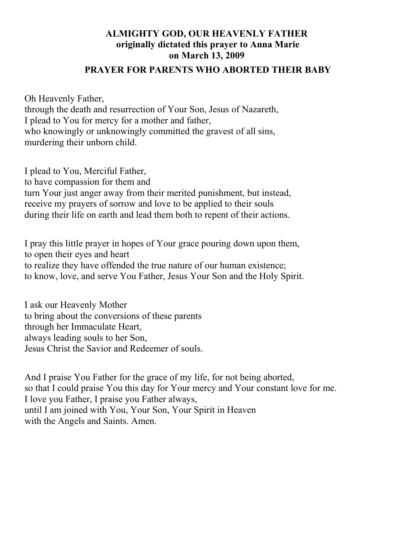# **ALMIGHTY GOD, OUR HEAVENLY FATHER originally dictated this prayer to Anna Marie on March 13, 2009 PRAYER FOR PARENTS WHO ABORTED THEIR BABY**

Oh Heavenly Father,

through the death and resurrection of Your Son, Jesus of Nazareth, I plead to You for mercy for a mother and father, who knowingly or unknowingly committed the gravest of all sins, murdering their unborn child.

I plead to You, Merciful Father, to have compassion for them and turn Your just anger away from their merited punishment, but instead, receive my prayers of sorrow and love to be applied to their souls during their life on earth and lead them both to repent of their actions.

I pray this little prayer in hopes of Your grace pouring down upon them, to open their eyes and heart to realize they have offended the true nature of our human existence; to know, love, and serve You Father, Jesus Your Son and the Holy Spirit.

I ask our Heavenly Mother to bring about the conversions of these parents through her Immaculate Heart, always leading souls to her Son, Jesus Christ the Savior and Redeemer of souls.

And I praise You Father for the grace of my life, for not being aborted, so that I could praise You this day for Your mercy and Your constant love for me. I love you Father, I praise you Father always, until I am joined with You, Your Son, Your Spirit in Heaven with the Angels and Saints. Amen.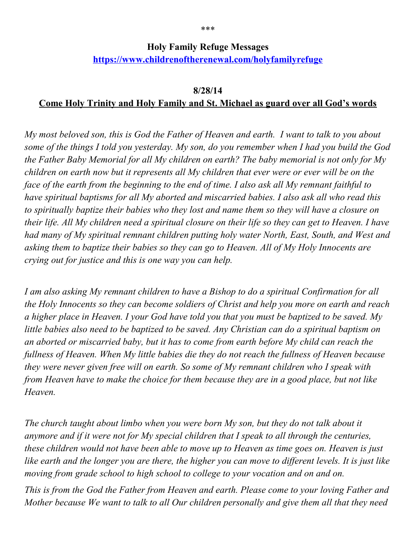# **Holy Family Refuge Messages <https://www.childrenoftherenewal.com/holyfamilyrefuge>**

#### **8/28/14**

# **Come Holy Trinity and Holy Family and St. Michael as guard over all God's words**

*My most beloved son, this is God the Father of Heaven and earth. I want to talk to you about some of the things I told you yesterday. My son, do you remember when I had you build the God the Father Baby Memorial for all My children on earth? The baby memorial is not only for My children on earth now but it represents all My children that ever were or ever will be on the face of the earth from the beginning to the end of time. I also ask all My remnant faithful to have spiritual baptisms for all My aborted and miscarried babies. I also ask all who read this to spiritually baptize their babies who they lost and name them so they will have a closure on their life. All My children need a spiritual closure on their life so they can get to Heaven. I have had many of My spiritual remnant children putting holy water North, East, South, and West and asking them to baptize their babies so they can go to Heaven. All of My Holy Innocents are crying out for justice and this is one way you can help.*

*I am also asking My remnant children to have a Bishop to do a spiritual Confirmation for all the Holy Innocents so they can become soldiers of Christ and help you more on earth and reach a higher place in Heaven. I your God have told you that you must be baptized to be saved. My little babies also need to be baptized to be saved. Any Christian can do a spiritual baptism on an aborted or miscarried baby, but it has to come from earth before My child can reach the fullness of Heaven. When My little babies die they do not reach the fullness of Heaven because they were never given free will on earth. So some of My remnant children who I speak with from Heaven have to make the choice for them because they are in a good place, but not like Heaven.*

*The church taught about limbo when you were born My son, but they do not talk about it anymore and if it were not for My special children that I speak to all through the centuries, these children would not have been able to move up to Heaven as time goes on. Heaven is just like earth and the longer you are there, the higher you can move to different levels. It is just like moving from grade school to high school to college to your vocation and on and on.*

*This is from the God the Father from Heaven and earth. Please come to your loving Father and Mother because We want to talk to all Our children personally and give them all that they need*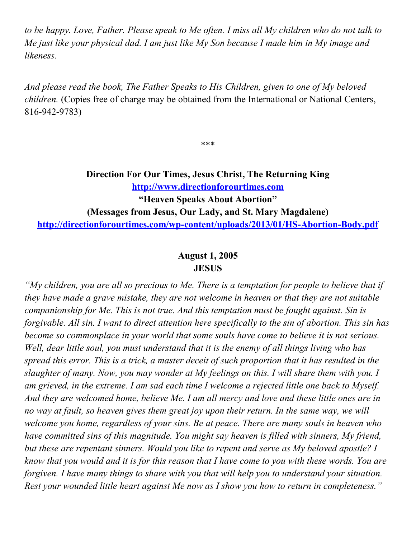*to be happy. Love, Father. Please speak to Me often. I miss all My children who do not talk to Me just like your physical dad. I am just like My Son because I made him in My image and likeness.*

*And please read the book, The Father Speaks to His Children, given to one of My beloved children.* (Copies free of charge may be obtained from the International or National Centers, 816-942-9783)

\*\*\*

# **Direction For Our Times, Jesus Christ, The Returning King [http://www.directionforourtimes.com](http://www.directionforourtimes.com/) "Heaven Speaks About Abortion" (Messages from Jesus, Our Lady, and St. Mary Magdalene) <http://directionforourtimes.com/wp-content/uploads/2013/01/HS-Abortion-Body.pdf>**

## **August 1, 2005 JESUS**

*"My children, you are all so precious to Me. There is a temptation for people to believe that if they have made a grave mistake, they are not welcome in heaven or that they are not suitable companionship for Me. This is not true. And this temptation must be fought against. Sin is forgivable. All sin. I want to direct attention here specifically to the sin of abortion. This sin has become so commonplace in your world that some souls have come to believe it is not serious. Well, dear little soul, you must understand that it is the enemy of all things living who has spread this error. This is a trick, a master deceit of such proportion that it has resulted in the slaughter of many. Now, you may wonder at My feelings on this. I will share them with you. I am grieved, in the extreme. I am sad each time I welcome a rejected little one back to Myself. And they are welcomed home, believe Me. I am all mercy and love and these little ones are in no way at fault, so heaven gives them great joy upon their return. In the same way, we will welcome you home, regardless of your sins. Be at peace. There are many souls in heaven who have committed sins of this magnitude. You might say heaven is filled with sinners, My friend, but these are repentant sinners. Would you like to repent and serve as My beloved apostle? I know that you would and it is for this reason that I have come to you with these words. You are forgiven. I have many things to share with you that will help you to understand your situation. Rest your wounded little heart against Me now as I show you how to return in completeness."*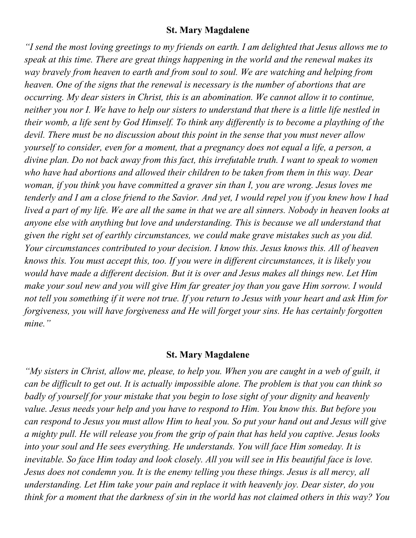#### **St. Mary Magdalene**

*"I send the most loving greetings to my friends on earth. I am delighted that Jesus allows me to speak at this time. There are great things happening in the world and the renewal makes its way bravely from heaven to earth and from soul to soul. We are watching and helping from heaven. One of the signs that the renewal is necessary is the number of abortions that are occurring. My dear sisters in Christ, this is an abomination. We cannot allow it to continue, neither you nor I. We have to help our sisters to understand that there is a little life nestled in their womb, a life sent by God Himself. To think any differently is to become a plaything of the devil. There must be no discussion about this point in the sense that you must never allow yourself to consider, even for a moment, that a pregnancy does not equal a life, a person, a divine plan. Do not back away from this fact, this irrefutable truth. I want to speak to women who have had abortions and allowed their children to be taken from them in this way. Dear woman, if you think you have committed a graver sin than I, you are wrong. Jesus loves me tenderly and I am a close friend to the Savior. And yet, I would repel you if you knew how I had lived a part of my life. We are all the same in that we are all sinners. Nobody in heaven looks at anyone else with anything but love and understanding. This is because we all understand that given the right set of earthly circumstances, we could make grave mistakes such as you did. Your circumstances contributed to your decision. I know this. Jesus knows this. All of heaven knows this. You must accept this, too. If you were in different circumstances, it is likely you would have made a different decision. But it is over and Jesus makes all things new. Let Him make your soul new and you will give Him far greater joy than you gave Him sorrow. I would not tell you something if it were not true. If you return to Jesus with your heart and ask Him for forgiveness, you will have forgiveness and He will forget your sins. He has certainly forgotten mine."*

#### **St. Mary Magdalene**

*"My sisters in Christ, allow me, please, to help you. When you are caught in a web of guilt, it can be difficult to get out. It is actually impossible alone. The problem is that you can think so badly of yourself for your mistake that you begin to lose sight of your dignity and heavenly value. Jesus needs your help and you have to respond to Him. You know this. But before you can respond to Jesus you must allow Him to heal you. So put your hand out and Jesus will give a mighty pull. He will release you from the grip of pain that has held you captive. Jesus looks into your soul and He sees everything. He understands. You will face Him someday. It is inevitable. So face Him today and look closely. All you will see in His beautiful face is love. Jesus does not condemn you. It is the enemy telling you these things. Jesus is all mercy, all understanding. Let Him take your pain and replace it with heavenly joy. Dear sister, do you think for a moment that the darkness of sin in the world has not claimed others in this way? You*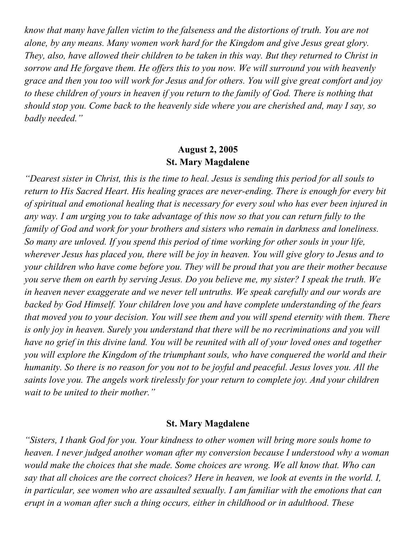*know that many have fallen victim to the falseness and the distortions of truth. You are not alone, by any means. Many women work hard for the Kingdom and give Jesus great glory. They, also, have allowed their children to be taken in this way. But they returned to Christ in sorrow and He forgave them. He offers this to you now. We will surround you with heavenly grace and then you too will work for Jesus and for others. You will give great comfort and joy to these children of yours in heaven if you return to the family of God. There is nothing that should stop you. Come back to the heavenly side where you are cherished and, may I say, so badly needed."*

## **August 2, 2005 St. Mary Magdalene**

*"Dearest sister in Christ, this is the time to heal. Jesus is sending this period for all souls to return to His Sacred Heart. His healing graces are never-ending. There is enough for every bit of spiritual and emotional healing that is necessary for every soul who has ever been injured in any way. I am urging you to take advantage of this now so that you can return fully to the family of God and work for your brothers and sisters who remain in darkness and loneliness. So many are unloved. If you spend this period of time working for other souls in your life, wherever Jesus has placed you, there will be joy in heaven. You will give glory to Jesus and to your children who have come before you. They will be proud that you are their mother because you serve them on earth by serving Jesus. Do you believe me, my sister? I speak the truth. We in heaven never exaggerate and we never tell untruths. We speak carefully and our words are backed by God Himself. Your children love you and have complete understanding of the fears that moved you to your decision. You will see them and you will spend eternity with them. There is only joy in heaven. Surely you understand that there will be no recriminations and you will have no grief in this divine land. You will be reunited with all of your loved ones and together you will explore the Kingdom of the triumphant souls, who have conquered the world and their humanity. So there is no reason for you not to be joyful and peaceful. Jesus loves you. All the saints love you. The angels work tirelessly for your return to complete joy. And your children wait to be united to their mother."*

### **St. Mary Magdalene**

*"Sisters, I thank God for you. Your kindness to other women will bring more souls home to heaven. I never judged another woman after my conversion because I understood why a woman would make the choices that she made. Some choices are wrong. We all know that. Who can say that all choices are the correct choices? Here in heaven, we look at events in the world. I, in particular, see women who are assaulted sexually. I am familiar with the emotions that can erupt in a woman after such a thing occurs, either in childhood or in adulthood. These*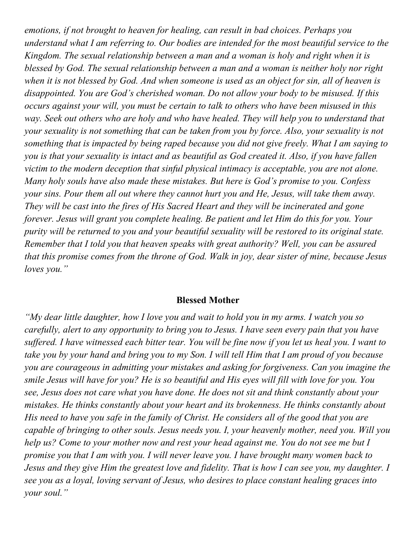*emotions, if not brought to heaven for healing, can result in bad choices. Perhaps you understand what I am referring to. Our bodies are intended for the most beautiful service to the Kingdom. The sexual relationship between a man and a woman is holy and right when it is blessed by God. The sexual relationship between a man and a woman is neither holy nor right when it is not blessed by God. And when someone is used as an object for sin, all of heaven is disappointed. You are God's cherished woman. Do not allow your body to be misused. If this occurs against your will, you must be certain to talk to others who have been misused in this way. Seek out others who are holy and who have healed. They will help you to understand that your sexuality is not something that can be taken from you by force. Also, your sexuality is not something that is impacted by being raped because you did not give freely. What I am saying to you is that your sexuality is intact and as beautiful as God created it. Also, if you have fallen victim to the modern deception that sinful physical intimacy is acceptable, you are not alone. Many holy souls have also made these mistakes. But here is God's promise to you. Confess your sins. Pour them all out where they cannot hurt you and He, Jesus, will take them away. They will be cast into the fires of His Sacred Heart and they will be incinerated and gone forever. Jesus will grant you complete healing. Be patient and let Him do this for you. Your purity will be returned to you and your beautiful sexuality will be restored to its original state. Remember that I told you that heaven speaks with great authority? Well, you can be assured that this promise comes from the throne of God. Walk in joy, dear sister of mine, because Jesus loves you."*

### **Blessed Mother**

*"My dear little daughter, how I love you and wait to hold you in my arms. I watch you so carefully, alert to any opportunity to bring you to Jesus. I have seen every pain that you have suffered. I have witnessed each bitter tear. You will be fine now if you let us heal you. I want to take you by your hand and bring you to my Son. I will tell Him that I am proud of you because you are courageous in admitting your mistakes and asking for forgiveness. Can you imagine the smile Jesus will have for you? He is so beautiful and His eyes will fill with love for you. You see, Jesus does not care what you have done. He does not sit and think constantly about your mistakes. He thinks constantly about your heart and its brokenness. He thinks constantly about His need to have you safe in the family of Christ. He considers all of the good that you are capable of bringing to other souls. Jesus needs you. I, your heavenly mother, need you. Will you help us? Come to your mother now and rest your head against me. You do not see me but I promise you that I am with you. I will never leave you. I have brought many women back to Jesus and they give Him the greatest love and fidelity. That is how I can see you, my daughter. I see you as a loyal, loving servant of Jesus, who desires to place constant healing graces into your soul."*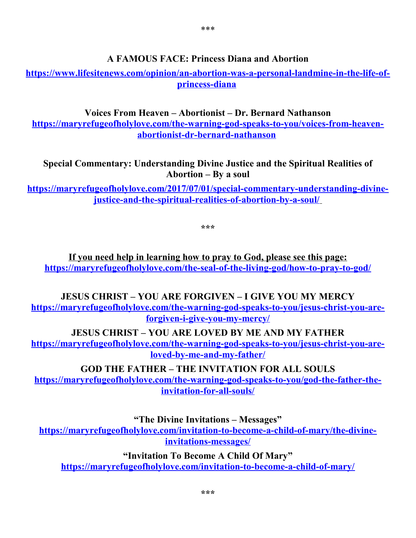### **A FAMOUS FACE: Princess Diana and Abortion**

\*\*\*

## **[https://www.lifesitenews.com/opinion/an-abortion-was-a-personal-landmine-in-the-life-of](https://www.lifesitenews.com/opinion/an-abortion-was-a-personal-landmine-in-the-life-of-princess-diana)[princess-diana](https://www.lifesitenews.com/opinion/an-abortion-was-a-personal-landmine-in-the-life-of-princess-diana)**

**Voices From Heaven – Abortionist – Dr. Bernard Nathanson [https://maryrefugeofholylove.com/the-warning-god-speaks-to-you/voices-from-heaven](https://maryrefugeofholylove.com/the-warning-god-speaks-to-you/voices-from-heaven-abortionist-dr-bernard-nathanson)[abortionist-dr-bernard-nathanson](https://maryrefugeofholylove.com/the-warning-god-speaks-to-you/voices-from-heaven-abortionist-dr-bernard-nathanson)**

**Special Commentary: Understanding Divine Justice and the Spiritual Realities of Abortion – By a soul**

**[https://maryrefugeofholylove.com/2017/07/01/special-commentary-understanding-divine](https://maryrefugeofholylove.com/2017/07/01/special-commentary-understanding-divine-justice-and-the-spiritual-realities-of-abortion-by-a-soul/)  [justice-and-the-spiritual-realities-of-abortion-by-a-soul/](https://maryrefugeofholylove.com/2017/07/01/special-commentary-understanding-divine-justice-and-the-spiritual-realities-of-abortion-by-a-soul/)**

**\*\*\***

**If you need help in learning how to pray to God, please see this page: <https://maryrefugeofholylove.com/the-seal-of-the-living-god/how-to-pray-to-god/>**

### **JESUS CHRIST – YOU ARE FORGIVEN – I GIVE YOU MY MERCY**

**[https://maryrefugeofholylove.com/the-warning-god-speaks-to-you/jesus-christ-you-are](https://maryrefugeofholylove.com/the-warning-god-speaks-to-you/jesus-christ-you-are-forgiven-i-give-you-my-mercy/)[forgiven-i-give-you-my-mercy/](https://maryrefugeofholylove.com/the-warning-god-speaks-to-you/jesus-christ-you-are-forgiven-i-give-you-my-mercy/)**

**JESUS CHRIST – YOU ARE LOVED BY ME AND MY FATHER**

**[https://maryrefugeofholylove.com/the-warning-god-speaks-to-you/jesus-christ-you-are](https://maryrefugeofholylove.com/the-warning-god-speaks-to-you/jesus-christ-you-are-loved-by-me-and-my-father/)[loved-by-me-and-my-father/](https://maryrefugeofholylove.com/the-warning-god-speaks-to-you/jesus-christ-you-are-loved-by-me-and-my-father/)**

**GOD THE FATHER – THE INVITATION FOR ALL SOULS**

**[https://maryrefugeofholylove.com/the-warning-god-speaks-to-you/god-the-father-the](https://maryrefugeofholylove.com/the-warning-god-speaks-to-you/god-the-father-the-invitation-for-all-souls/)[invitation-for-all-souls/](https://maryrefugeofholylove.com/the-warning-god-speaks-to-you/god-the-father-the-invitation-for-all-souls/)**

**"The Divine Invitations – Messages"**

**[https://maryrefugeofholylove.com/invitation-to-become-a-child-of-mary/the-divine](https://maryrefugeofholylove.com/invitation-to-become-a-child-of-mary/the-divine-invitations-messages/)[invitations-messages/](https://maryrefugeofholylove.com/invitation-to-become-a-child-of-mary/the-divine-invitations-messages/)**

**"Invitation To Become A Child Of Mary" <https://maryrefugeofholylove.com/invitation-to-become-a-child-of-mary/>**